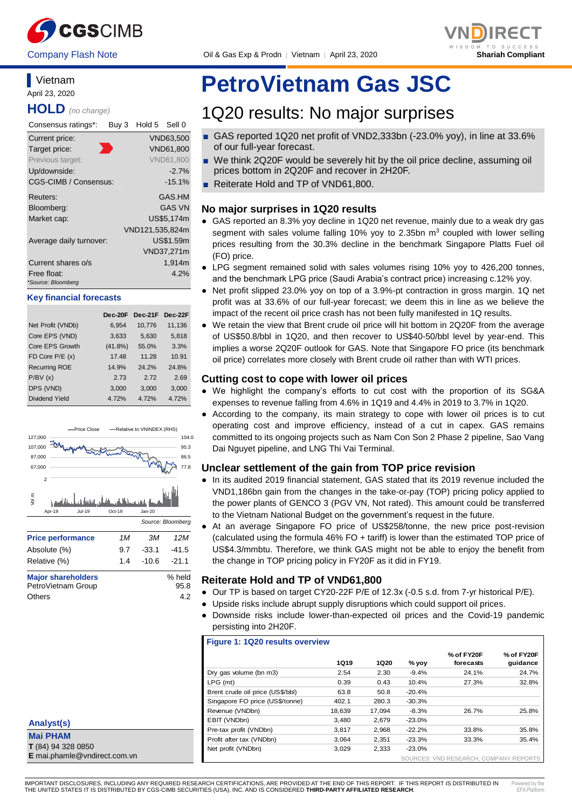

Company Flash Note Oil & Gas Exp & Prodn │ Vietnam │ April 23, 2020 **Shariah Compliant**



### **Vietnam** April 23, 2020 **HOLD** *(no change)*

| Consensus ratings*:               | Buy 3 | Hold 5 Sell 0   |                  |
|-----------------------------------|-------|-----------------|------------------|
| Current price:                    |       |                 | VND63,500        |
| Target price:                     |       |                 | <b>VND61,800</b> |
| Previous target:                  |       |                 | <b>VND61,800</b> |
| Up/downside:                      |       |                 | $-2.7%$          |
| CGS-CIMB / Consensus:             |       |                 | $-15.1%$         |
| Reuters:                          |       |                 | GAS.HM           |
| Bloomberg:                        |       |                 | <b>GAS VN</b>    |
| Market cap:                       |       |                 | US\$5,174m       |
|                                   |       | VND121,535,824m |                  |
| Average daily turnover:           |       |                 | US\$1.59m        |
|                                   |       |                 | VND37,271m       |
| Current shares o/s                |       |                 | 1,914m           |
| Free float:<br>*Source: Bloomberg |       |                 | 4.2%             |

#### **Key financial forecasts**

|                      | Dec-20F    | Dec-21F | Dec-22F |
|----------------------|------------|---------|---------|
| Net Profit (VNDb)    | 6,954      | 10,776  | 11,136  |
| Core EPS (VND)       | 3,633      | 5,630   | 5,818   |
| Core EPS Growth      | $(41.8\%)$ | 55.0%   | 3.3%    |
| FD Core $P/E(x)$     | 17.48      | 11.28   | 10.91   |
| <b>Recurring ROE</b> | 14.9%      | 24.2%   | 24.8%   |
| P/BV(x)              | 2.73       | 272     | 2.69    |
| DPS (VND)            | 3,000      | 3,000   | 3,000   |
| Dividend Yield       | 4.72%      | 4.72%   | 4.72%   |



| Petrovietnam Group | 95.8 |
|--------------------|------|
| Others             | 4.2  |

| Analyst(s)                   |
|------------------------------|
| <b>Mai PHAM</b>              |
| T (84) 94 328 0850           |
| E mai.phamle@vndirect.com.vn |

# **PetroVietnam Gas JSC**

# 1Q20 results: No major surprises

- GAS reported 1Q20 net profit of VND2,333bn (-23.0% yoy), in line at 33.6% of our full-year forecast.
- We think 2Q20F would be severely hit by the oil price decline, assuming oil prices bottom in 2Q20F and recover in 2H20F.
- Reiterate Hold and TP of VND61,800.

# **No major surprises in 1Q20 results**

- GAS reported an 8.3% yoy decline in 1Q20 net revenue, mainly due to a weak dry gas segment with sales volume falling 10% yoy to 2.35bn  $m<sup>3</sup>$  coupled with lower selling prices resulting from the 30.3% decline in the benchmark Singapore Platts Fuel oil (FO) price.
- LPG segment remained solid with sales volumes rising 10% yoy to 426,200 tonnes, and the benchmark LPG price (Saudi Arabia's contract price) increasing c.12% yoy.
- Net profit slipped 23.0% yoy on top of a 3.9%-pt contraction in gross margin. 1Q net profit was at 33.6% of our full-year forecast; we deem this in line as we believe the impact of the recent oil price crash has not been fully manifested in 1Q results.
- We retain the view that Brent crude oil price will hit bottom in 2Q20F from the average of US\$50.8/bbl in 1Q20, and then recover to US\$40-50/bbl level by year-end. This implies a worse 2Q20F outlook for GAS. Note that Singapore FO price (its benchmark oil price) correlates more closely with Brent crude oil rather than with WTI prices.

# **Cutting cost to cope with lower oil prices**

- We highlight the company's efforts to cut cost with the proportion of its SG&A expenses to revenue falling from 4.6% in 1Q19 and 4.4% in 2019 to 3.7% in 1Q20.
- According to the company, its main strategy to cope with lower oil prices is to cut operating cost and improve efficiency, instead of a cut in capex. GAS remains committed to its ongoing projects such as Nam Con Son 2 Phase 2 pipeline, Sao Vang Dai Nguyet pipeline, and LNG Thi Vai Terminal.

# **Unclear settlement of the gain from TOP price revision**

- In its audited 2019 financial statement, GAS stated that its 2019 revenue included the VND1,186bn gain from the changes in the take-or-pay (TOP) pricing policy applied to the power plants of GENCO 3 (PGV VN, Not rated). This amount could be transferred to the Vietnam National Budget on the government's request in the future.
- At an average Singapore FO price of US\$258/tonne, the new price post-revision (calculated using the formula 46% FO + tariff) is lower than the estimated TOP price of US\$4.3/mmbtu. Therefore, we think GAS might not be able to enjoy the benefit from the change in TOP pricing policy in FY20F as it did in FY19.

# **Reiterate Hold and TP of VND61,800**

- Our TP is based on target CY20-22F P/E of 12.3x (-0.5 s.d. from 7-yr historical P/E).
	- Upside risks include abrupt supply disruptions which could support oil prices.
- Downside risks include lower-than-expected oil prices and the Covid-19 pandemic persisting into 2H20F.

#### **Figure 1: 1Q20 results overview**

|                                  | <b>1Q19</b> | <b>1Q20</b> | $%$ yoy  | % of FY20F<br>forecasts                | % of FY20F<br>guidance |
|----------------------------------|-------------|-------------|----------|----------------------------------------|------------------------|
| Dry gas volume (bn m3)           | 2.54        | 2.30        | $-9.4%$  | 24.1%                                  | 24.7%                  |
| $LPG$ (mt)                       | 0.39        | 0.43        | 10.4%    | 27.3%                                  | 32.8%                  |
| Brent crude oil price (US\$/bbl) | 63.8        | 50.8        | $-20.4%$ |                                        |                        |
| Singapore FO price (US\$/tonne)  | 402.1       | 280.3       | $-30.3%$ |                                        |                        |
| Revenue (VNDbn)                  | 18.639      | 17.094      | $-8.3%$  | 26.7%                                  | 25.8%                  |
| EBIT (VNDbn)                     | 3.480       | 2.679       | $-23.0%$ |                                        |                        |
| Pre-tax profit (VNDbn)           | 3.817       | 2.968       | $-22.2%$ | 33.8%                                  | 35.8%                  |
| Profit after tax (VNDbn)         | 3.064       | 2.351       | $-23.3%$ | 33.3%                                  | 35.4%                  |
| Net profit (VNDbn)               | 3.029       | 2.333       | $-23.0%$ |                                        |                        |
|                                  |             |             |          | SOURCES: VND RESEARCH, COMPANY REPORTS |                        |

IMPORTANT DISCLOSURES, INCLUDING ANY REQUIRED RESEARCH CERTIFICATIONS, ARE PROVIDED AT THE END OF THIS REPORT. IF THIS REPORT IS DISTRIBUTED IN THE UNITED STATES IT IS DISTRIBUTED BY CGS-CIMB SECURITIES (USA), INC. AND IS CONSIDERED **THIRD-PARTY AFFILIATED RESEARCH**.

٦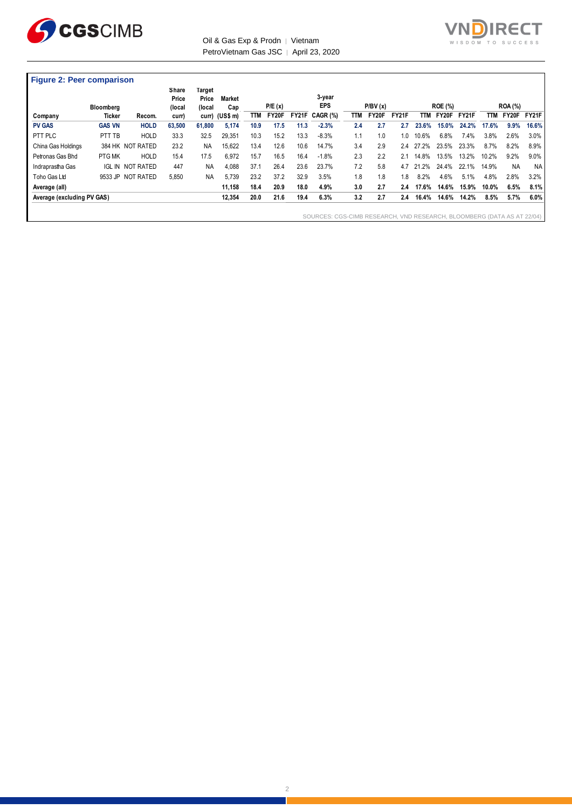

#### Oil & Gas Exp & Prodn | Vietnam PetroVietnam Gas JSC | April 23, 2020



|                            | <b>Bloomberg</b> |                  | Share<br>Price<br>(local | Target<br>Price<br>(local | <b>Market</b><br>Cap |      | P/E(x) |       | 3-year<br><b>EPS</b>                                                   |            | P/BV(x) |              |            | <b>ROE (%)</b> |       |            | <b>ROA</b> (%) |           |
|----------------------------|------------------|------------------|--------------------------|---------------------------|----------------------|------|--------|-------|------------------------------------------------------------------------|------------|---------|--------------|------------|----------------|-------|------------|----------------|-----------|
| Company                    | Ticker           | Recom.           | curr)                    |                           | curr) (US\$ m)       | TTM  | FY20F  | FY21F | CAGR (%)                                                               | <b>TTM</b> | FY20F   | <b>FY21F</b> | <b>TTM</b> | FY20F          | FY21F | <b>TTM</b> | FY20F          | FY21F     |
| <b>PV GAS</b>              | <b>GAS VN</b>    | <b>HOLD</b>      | 63,500                   | 61,800                    | 5.174                | 10.9 | 17.5   | 11.3  | $-2.3%$                                                                | 2.4        | 2.7     | 2.7          | 23.6%      | 15.0%          | 24.2% | 17.6%      | 9.9%           | 16.6%     |
| PTT PLC                    | PTT TB           | <b>HOLD</b>      | 33.3                     | 32.5                      | 29,351               | 10.3 | 15.2   | 13.3  | $-8.3%$                                                                | 1.1        | 1.0     | 1.0          | 10.6%      | 6.8%           | 7.4%  | 3.8%       | 2.6%           | 3.0%      |
| China Gas Holdings         |                  | 384 HK NOT RATED | 23.2                     | <b>NA</b>                 | 15,622               | 13.4 | 12.6   | 10.6  | 14.7%                                                                  | 3.4        | 2.9     | 2.4          | 27.2%      | 23.5%          | 23.3% | 8.7%       | 8.2%           | 8.9%      |
| Petronas Gas Bhd           | PTG MK           | <b>HOLD</b>      | 15.4                     | 17.5                      | 6.972                | 15.7 | 16.5   | 16.4  | $-1.8%$                                                                | 2.3        | 2.2     | 2.1          | 14.8%      | 13.5%          | 13.2% | 10.2%      | 9.2%           | 9.0%      |
| Indraprastha Gas           | <b>IGL IN</b>    | NOT RATED        | 447                      | <b>NA</b>                 | 4,088                | 37.1 | 26.4   | 23.6  | 23.7%                                                                  | 7.2        | 5.8     | 4.7          | 21.2%      | 24.4%          | 22.1% | 14.9%      | <b>NA</b>      | <b>NA</b> |
| Toho Gas Ltd               | 9533 JP          | NOT RATED        | 5,850                    | <b>NA</b>                 | 5.739                | 23.2 | 37.2   | 32.9  | 3.5%                                                                   | 1.8        | 1.8     | 1.8          | 8.2%       | 4.6%           | 5.1%  | 4.8%       | 2.8%           | 3.2%      |
| Average (all)              |                  |                  |                          |                           | 11,158               | 18.4 | 20.9   | 18.0  | 4.9%                                                                   | 3.0        | 2.7     | 2.4          | 17.6%      | 14.6%          | 15.9% | 10.0%      | 6.5%           | 8.1%      |
| Average (excluding PV GAS) |                  |                  |                          |                           | 12,354               | 20.0 | 21.6   | 19.4  | 6.3%                                                                   | 3.2        | 2.7     | 2.4          | 16.4%      | 14.6%          | 14.2% | 8.5%       | 5.7%           | 6.0%      |
|                            |                  |                  |                          |                           |                      |      |        |       | SOURCES: CGS-CIMB RESEARCH, VND RESEARCH, BLOOMBERG (DATA AS AT 22/04) |            |         |              |            |                |       |            |                |           |

2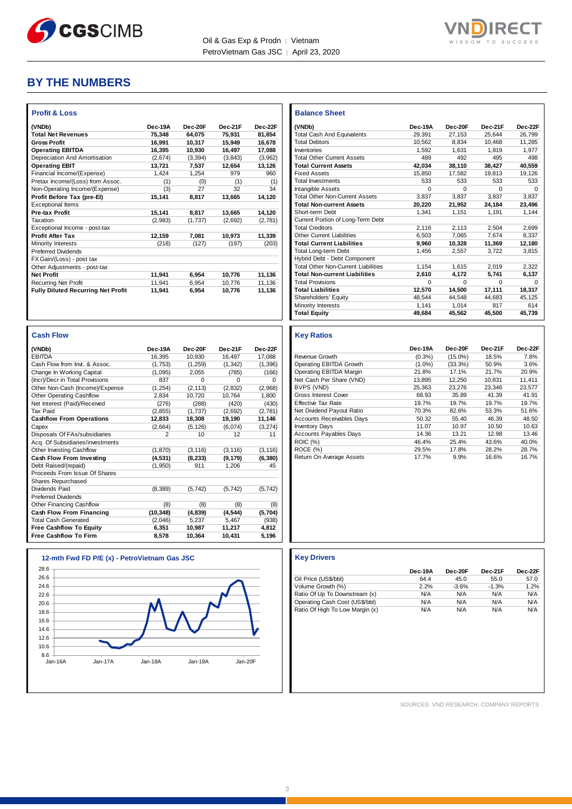



# **BY THE NUMBERS**

| (VNDb)                                          | Dec-19A         | Dec-20F        | Dec-21F          | Dec-22F         |
|-------------------------------------------------|-----------------|----------------|------------------|-----------------|
| <b>Total Net Revenues</b>                       | 75,348          | 64,075         | 75,931           | 81,854          |
| <b>Gross Profit</b>                             | 16,991          | 10,317         | 15,949           | 16,678          |
| <b>Operating EBITDA</b>                         | 16,395          | 10,930         | 16,497           | 17,088          |
| Depreciation And Amortisation                   | (2,674)         | (3, 394)       | (3, 843)         | (3,962)         |
| <b>Operating EBIT</b>                           | 13,721          | 7,537          | 12,654           | 13,126          |
| Financial Income/(Expense)                      | 1,424           | 1,254          | 979              | 960             |
| Pretax Income/(Loss) from Assoc.                | (1)             | (0)            | (1)              | (1)             |
| Non-Operating Income/(Expense)                  | (3)             | 27             | 32               | 34              |
| Profit Before Tax (pre-El)                      | 15,141          | 8,817          | 13,665           | 14,120          |
| <b>Exceptional Items</b>                        |                 |                |                  |                 |
| Pre-tax Profit                                  | 15,141          | 8,817          | 13,665           | 14,120          |
| Taxation                                        | (2,983)         | (1,737)        | (2,692)          | (2,781)         |
| Exceptional Income - post-tax                   |                 |                |                  |                 |
| <b>Profit After Tax</b>                         | 12,159          | 7,081          | 10,973           | 11,339          |
| Minority Interests                              | (218)           | (127)          | (197)            | (203)           |
| <b>Preferred Dividends</b>                      |                 |                |                  |                 |
| FX Gain/(Loss) - post tax                       |                 |                |                  |                 |
| Other Adjustments - post-tax                    |                 |                |                  |                 |
| <b>Net Profit</b>                               | 11,941          | 6,954          | 10,776           | 11,136          |
| <b>Recurring Net Profit</b>                     | 11,941          | 6,954          | 10,776           | 11,136          |
| <b>Fully Diluted Recurring Net Profit</b>       | 11,941          | 6.954          | 10,776           | 11,136          |
|                                                 |                 |                |                  |                 |
|                                                 |                 |                |                  |                 |
| <b>Cash Flow</b>                                |                 |                |                  |                 |
| (VNDb)                                          | Dec-19A         | Dec-20F        | Dec-21F          | Dec-22F         |
| <b>EBITDA</b>                                   | 16,395          | 10,930         | 16,497           | 17,088          |
| Cash Flow from Invt. & Assoc.                   | (1,753)         | (1, 259)       | (1, 342)         | (1, 396)        |
| Change In Working Capital                       | (1,095)         | 2.055          | (785)            | (166)           |
| (Incr)/Decr in Total Provisions                 | 837             | 0              | $\Omega$         | 0               |
| Other Non-Cash (Income)/Expense                 | (1, 254)        | (2, 113)       | (2, 832)         | (2,968)         |
| Other Operating Cashflow                        | 2,834           | 10,720         | 10,764           | 1,800           |
| Net Interest (Paid)/Received                    | (276)           | (288)          | (420)            | (430)           |
| Tax Paid                                        | (2, 855)        | (1,737)        | (2,692)          | (2,781)         |
| <b>Cashflow From Operations</b>                 | 12,833          | 18,308         | 19,190           | 11,146          |
| Capex                                           | (2,664)         | (5, 126)       | (6,074)          | (3, 274)        |
| Disposals Of FAs/subsidiaries                   | $\overline{2}$  | 10             | 12               | 11              |
| Acq. Of Subsidiaries/investments                |                 |                |                  |                 |
| Other Investing Cashflow                        | (1, 870)        | (3, 116)       | (3, 116)         | (3, 116)        |
| Cash Flow From Investing                        | (4, 531)        | (8, 233)       | (9, 179)         | (6, 380)        |
| Debt Raised/(repaid)                            | (1,950)         | 911            | 1,206            | 45              |
| Proceeds From Issue Of Shares                   |                 |                |                  |                 |
| <b>Shares Repurchased</b>                       |                 |                |                  |                 |
| Dividends Paid                                  | (8,389)         | (5, 742)       | (5, 742)         | (5, 742)        |
| <b>Preferred Dividends</b>                      |                 |                |                  |                 |
| Other Financing Cashflow<br>Cash Flow From Fine | (8)<br>(40.240) | (8)<br>(4.020) | (8)<br>(A, E, A) | (8)<br>(E, 70A) |

| <b>Balance Sheet</b>                       |         |          |          |          |
|--------------------------------------------|---------|----------|----------|----------|
| (VNDb)                                     | Dec-19A | Dec-20F  | Dec-21F  | Dec-22F  |
| <b>Total Cash And Equivalents</b>          | 29,391  | 27,153   | 25.644   | 26,799   |
| <b>Total Debtors</b>                       | 10.562  | 8.834    | 10.468   | 11,285   |
| Inventories                                | 1.592   | 1.631    | 1.819    | 1.977    |
| <b>Total Other Current Assets</b>          | 489     | 492      | 495      | 498      |
| <b>Total Current Assets</b>                | 42.034  | 38,110   | 38.427   | 40.559   |
| <b>Fixed Assets</b>                        | 15.850  | 17.582   | 19.813   | 19,126   |
| <b>Total Investments</b>                   | 533     | 533      | 533      | 533      |
| <b>Intangible Assets</b>                   | O       | $\Omega$ | $\Omega$ | $\Omega$ |
| <b>Total Other Non-Current Assets</b>      | 3.837   | 3.837    | 3.837    | 3.837    |
| <b>Total Non-current Assets</b>            | 20,220  | 21.952   | 24.184   | 23,496   |
| Short-term Debt                            | 1.341   | 1.151    | 1.191    | 1.144    |
| Current Portion of Long-Term Debt          |         |          |          |          |
| <b>Total Creditors</b>                     | 2.116   | 2.113    | 2.504    | 2,699    |
| Other Current Liabilities                  | 6.503   | 7,065    | 7.674    | 8.337    |
| <b>Total Current Liabilities</b>           | 9,960   | 10,328   | 11,369   | 12,180   |
| Total Long-term Debt                       | 1.456   | 2.557    | 3.722    | 3.815    |
| Hybrid Debt - Debt Component               |         |          |          |          |
| <b>Total Other Non-Current Liabilities</b> | 1.154   | 1.615    | 2,019    | 2.322    |
| <b>Total Non-current Liabilities</b>       | 2.610   | 4.172    | 5.741    | 6.137    |
| <b>Total Provisions</b>                    | O       | $\Omega$ | $\Omega$ | $\Omega$ |
| <b>Total Liabilities</b>                   | 12.570  | 14.500   | 17,111   | 18.317   |
| Shareholders' Equity                       | 48.544  | 44.548   | 44.683   | 45.125   |
| Minority Interests                         | 1.141   | 1.014    | 817      | 614      |
| <b>Total Equity</b>                        | 49.684  | 45.562   | 45.500   | 45.739   |

| 16,395<br>(1,753)<br>(1,095)<br>837 | 10,930<br>(1,259)<br>2,055<br>0 | 16,497<br>(1, 342)<br>(785) | 17,088<br>(1, 396)<br>(166) |
|-------------------------------------|---------------------------------|-----------------------------|-----------------------------|
|                                     |                                 |                             |                             |
|                                     |                                 |                             |                             |
|                                     |                                 |                             |                             |
|                                     |                                 |                             | 0                           |
|                                     | (2, 113)                        | (2,832)                     | (2,968)                     |
| 2,834                               | 10,720                          | 10,764                      | 1,800                       |
| (276)                               | (288)                           | (420)                       | (430)                       |
| (2, 855)                            | (1,737)                         | (2,692)                     | (2,781)                     |
| 12,833                              | 18,308                          | 19,190                      | 11,146                      |
| (2,664)                             | (5, 126)                        | (6,074)                     | (3, 274)                    |
| $\overline{2}$                      | 10                              | 12                          | 11                          |
|                                     |                                 |                             |                             |
| (1, 870)                            | (3, 116)                        | (3, 116)                    | (3, 116)                    |
| (4,531)                             | (8, 233)                        | (9, 179)                    | (6, 380)                    |
| (1,950)                             | 911                             | 1,206                       | 45                          |
|                                     |                                 |                             |                             |
|                                     |                                 |                             |                             |
| (8, 389)                            | (5, 742)                        | (5, 742)                    | (5, 742)                    |
|                                     |                                 |                             |                             |
| (8)                                 | (8)                             | (8)                         | (8)                         |
| (10, 348)                           | (4, 839)                        | (4, 544)                    | (5,704)                     |
| (2,046)                             | 5,237                           | 5,467                       | (938)                       |
| 6,351                               | 10,987                          | 11,217                      | 4,812                       |
| 8,578                               | 10,364                          | 10,431                      | 5,196                       |
|                                     | (1, 254)                        |                             | $\Omega$                    |



#### **Key Ratios**

|                                  | Dec-19A   | Dec-20F    | Dec-21F | Dec-22F |
|----------------------------------|-----------|------------|---------|---------|
| Revenue Growth                   | $(0.3\%)$ | $(15.0\%)$ | 18.5%   | 7.8%    |
| Operating EBITDA Growth          | $(1.0\%)$ | (33.3%)    | 50.9%   | 3.6%    |
| Operating EBITDA Margin          | 21.8%     | 17.1%      | 21.7%   | 20.9%   |
| Net Cash Per Share (VND)         | 13.895    | 12.250     | 10.831  | 11.411  |
| BVPS (VND)                       | 25.363    | 23.276     | 23.346  | 23.577  |
| Gross Interest Cover             | 68.93     | 35.89      | 41.39   | 41.91   |
| <b>Effective Tax Rate</b>        | 19.7%     | 19.7%      | 19.7%   | 19.7%   |
| Net Dividend Payout Ratio        | 70.3%     | 82.6%      | 53.3%   | 51.6%   |
| <b>Accounts Receivables Days</b> | 50.32     | 55.40      | 46.39   | 48.50   |
| <b>Inventory Days</b>            | 11.07     | 10.97      | 10.50   | 10.63   |
| <b>Accounts Payables Days</b>    | 14.36     | 13.21      | 12.98   | 13.46   |
| <b>ROIC</b> (%)                  | 46.4%     | 25.4%      | 43.6%   | 40.0%   |
| ROCE (%)                         | 29.5%     | 17.8%      | 28.2%   | 28.7%   |
| Return On Average Assets         | 17.7%     | 9.9%       | 16.6%   | 16.7%   |

|                                 | Dec-19A | Dec-20F | Dec-21F | Dec-22F |
|---------------------------------|---------|---------|---------|---------|
| Oil Price (US\$/bbl)            | 64.4    | 45.0    | 55.0    | 57.0    |
| Volume Growth (%)               | 2.2%    | $-3.6%$ | $-1.3%$ | 1.2%    |
| Ratio Of Up To Downstream (x)   | N/A     | N/A     | N/A     | N/A     |
| Operating Cash Cost (US\$/bbl)  | N/A     | N/A     | N/A     | N/A     |
| Ratio Of High To Low Margin (x) | N/A     | N/A     | N/A     | N/A     |

SOURCES: VND RESEARCH, COMPANY REPORTS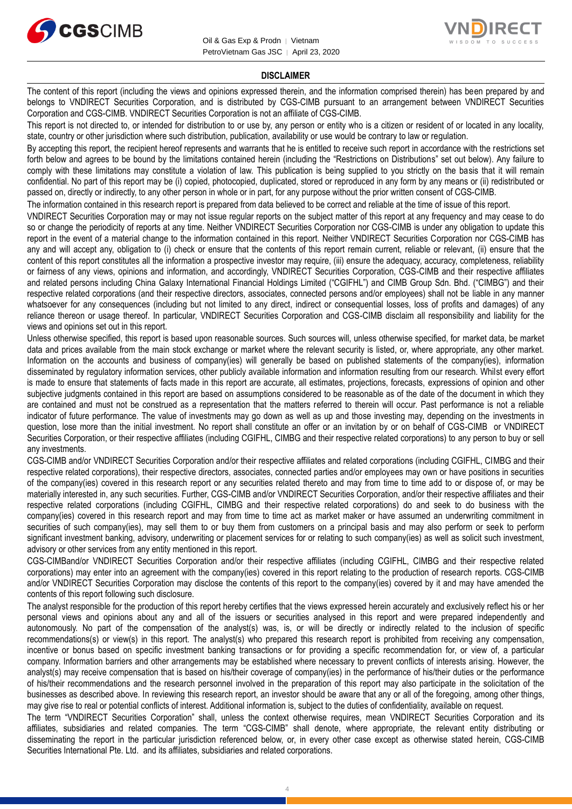



#### **DISCLAIMER**

The content of this report (including the views and opinions expressed therein, and the information comprised therein) has been prepared by and belongs to VNDIRECT Securities Corporation, and is distributed by CGS-CIMB pursuant to an arrangement between VNDIRECT Securities Corporation and CGS-CIMB. VNDIRECT Securities Corporation is not an affiliate of CGS-CIMB.

This report is not directed to, or intended for distribution to or use by, any person or entity who is a citizen or resident of or located in any locality, state, country or other jurisdiction where such distribution, publication, availability or use would be contrary to law or regulation.

By accepting this report, the recipient hereof represents and warrants that he is entitled to receive such report in accordance with the restrictions set forth below and agrees to be bound by the limitations contained herein (including the "Restrictions on Distributions" set out below). Any failure to comply with these limitations may constitute a violation of law. This publication is being supplied to you strictly on the basis that it will remain confidential. No part of this report may be (i) copied, photocopied, duplicated, stored or reproduced in any form by any means or (ii) redistributed or passed on, directly or indirectly, to any other person in whole or in part, for any purpose without the prior written consent of CGS-CIMB.

The information contained in this research report is prepared from data believed to be correct and reliable at the time of issue of this report.

VNDIRECT Securities Corporation may or may not issue regular reports on the subject matter of this report at any frequency and may cease to do so or change the periodicity of reports at any time. Neither VNDIRECT Securities Corporation nor CGS-CIMB is under any obligation to update this report in the event of a material change to the information contained in this report. Neither VNDIRECT Securities Corporation nor CGS-CIMB has any and will accept any, obligation to (i) check or ensure that the contents of this report remain current, reliable or relevant, (ii) ensure that the content of this report constitutes all the information a prospective investor may require, (iii) ensure the adequacy, accuracy, completeness, reliability or fairness of any views, opinions and information, and accordingly, VNDIRECT Securities Corporation, CGS-CIMB and their respective affiliates and related persons including China Galaxy International Financial Holdings Limited ("CGIFHL") and CIMB Group Sdn. Bhd. ("CIMBG") and their respective related corporations (and their respective directors, associates, connected persons and/or employees) shall not be liable in any manner whatsoever for any consequences (including but not limited to any direct, indirect or consequential losses, loss of profits and damages) of any reliance thereon or usage thereof. In particular, VNDIRECT Securities Corporation and CGS-CIMB disclaim all responsibility and liability for the views and opinions set out in this report.

Unless otherwise specified, this report is based upon reasonable sources. Such sources will, unless otherwise specified, for market data, be market data and prices available from the main stock exchange or market where the relevant security is listed, or, where appropriate, any other market. Information on the accounts and business of company(ies) will generally be based on published statements of the company(ies), information disseminated by regulatory information services, other publicly available information and information resulting from our research. Whilst every effort is made to ensure that statements of facts made in this report are accurate, all estimates, projections, forecasts, expressions of opinion and other subjective judgments contained in this report are based on assumptions considered to be reasonable as of the date of the document in which they are contained and must not be construed as a representation that the matters referred to therein will occur. Past performance is not a reliable indicator of future performance. The value of investments may go down as well as up and those investing may, depending on the investments in question, lose more than the initial investment. No report shall constitute an offer or an invitation by or on behalf of CGS-CIMB or VNDIRECT Securities Corporation, or their respective affiliates (including CGIFHL, CIMBG and their respective related corporations) to any person to buy or sell any investments.

CGS-CIMB and/or VNDIRECT Securities Corporation and/or their respective affiliates and related corporations (including CGIFHL, CIMBG and their respective related corporations), their respective directors, associates, connected parties and/or employees may own or have positions in securities of the company(ies) covered in this research report or any securities related thereto and may from time to time add to or dispose of, or may be materially interested in, any such securities. Further, CGS-CIMB and/or VNDIRECT Securities Corporation, and/or their respective affiliates and their respective related corporations (including CGIFHL, CIMBG and their respective related corporations) do and seek to do business with the company(ies) covered in this research report and may from time to time act as market maker or have assumed an underwriting commitment in securities of such company(ies), may sell them to or buy them from customers on a principal basis and may also perform or seek to perform significant investment banking, advisory, underwriting or placement services for or relating to such company(ies) as well as solicit such investment, advisory or other services from any entity mentioned in this report.

CGS-CIMBand/or VNDIRECT Securities Corporation and/or their respective affiliates (including CGIFHL, CIMBG and their respective related corporations) may enter into an agreement with the company(ies) covered in this report relating to the production of research reports. CGS-CIMB and/or VNDIRECT Securities Corporation may disclose the contents of this report to the company(ies) covered by it and may have amended the contents of this report following such disclosure.

The analyst responsible for the production of this report hereby certifies that the views expressed herein accurately and exclusively reflect his or her personal views and opinions about any and all of the issuers or securities analysed in this report and were prepared independently and autonomously. No part of the compensation of the analyst(s) was, is, or will be directly or indirectly related to the inclusion of specific recommendations(s) or view(s) in this report. The analyst(s) who prepared this research report is prohibited from receiving any compensation, incentive or bonus based on specific investment banking transactions or for providing a specific recommendation for, or view of, a particular company. Information barriers and other arrangements may be established where necessary to prevent conflicts of interests arising. However, the analyst(s) may receive compensation that is based on his/their coverage of company(ies) in the performance of his/their duties or the performance of his/their recommendations and the research personnel involved in the preparation of this report may also participate in the solicitation of the businesses as described above. In reviewing this research report, an investor should be aware that any or all of the foregoing, among other things, may give rise to real or potential conflicts of interest. Additional information is, subject to the duties of confidentiality, available on request.

The term "VNDIRECT Securities Corporation" shall, unless the context otherwise requires, mean VNDIRECT Securities Corporation and its affiliates, subsidiaries and related companies. The term "CGS-CIMB" shall denote, where appropriate, the relevant entity distributing or disseminating the report in the particular jurisdiction referenced below, or, in every other case except as otherwise stated herein, CGS-CIMB Securities International Pte. Ltd. and its affiliates, subsidiaries and related corporations.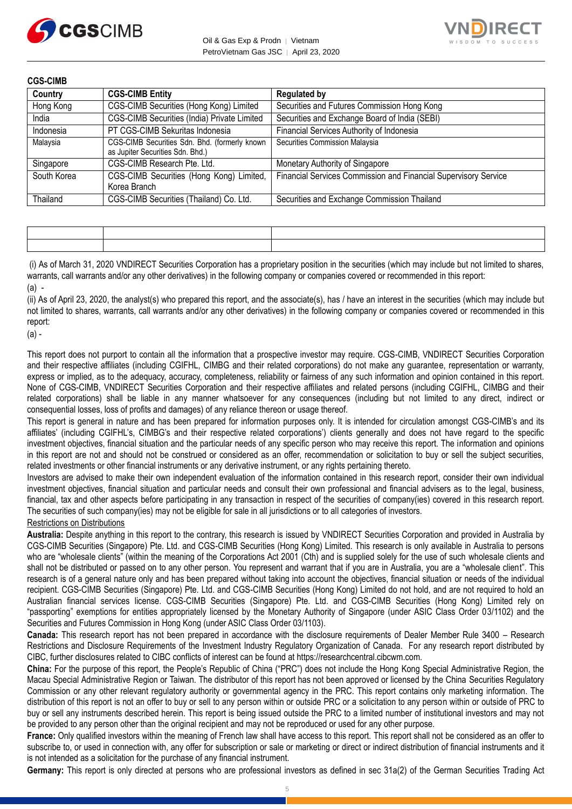

Oil & Gas Exp & Prodn │ Vietnam PetroVietnam Gas JSC | April 23, 2020



| <b>CGS-CIMB</b> |                                                                                   |                                                                 |
|-----------------|-----------------------------------------------------------------------------------|-----------------------------------------------------------------|
| Country         | <b>CGS-CIMB Entity</b>                                                            | <b>Regulated by</b>                                             |
| Hong Kong       | CGS-CIMB Securities (Hong Kong) Limited                                           | Securities and Futures Commission Hong Kong                     |
| India           | CGS-CIMB Securities (India) Private Limited                                       | Securities and Exchange Board of India (SEBI)                   |
| Indonesia       | PT CGS-CIMB Sekuritas Indonesia                                                   | Financial Services Authority of Indonesia                       |
| Malaysia        | CGS-CIMB Securities Sdn. Bhd. (formerly known<br>as Jupiter Securities Sdn. Bhd.) | Securities Commission Malaysia                                  |
| Singapore       | CGS-CIMB Research Pte. Ltd.                                                       | Monetary Authority of Singapore                                 |
| South Korea     | CGS-CIMB Securities (Hong Kong) Limited,<br>Korea Branch                          | Financial Services Commission and Financial Supervisory Service |
| Thailand        | CGS-CIMB Securities (Thailand) Co. Ltd.                                           | Securities and Exchange Commission Thailand                     |

(i) As of March 31, 2020 VNDIRECT Securities Corporation has a proprietary position in the securities (which may include but not limited to shares, warrants, call warrants and/or any other derivatives) in the following company or companies covered or recommended in this report:  $(a)$  -

(ii) As of April 23, 2020, the analyst(s) who prepared this report, and the associate(s), has / have an interest in the securities (which may include but not limited to shares, warrants, call warrants and/or any other derivatives) in the following company or companies covered or recommended in this report:

(a) -

This report does not purport to contain all the information that a prospective investor may require. CGS-CIMB, VNDIRECT Securities Corporation and their respective affiliates (including CGIFHL, CIMBG and their related corporations) do not make any guarantee, representation or warranty, express or implied, as to the adequacy, accuracy, completeness, reliability or fairness of any such information and opinion contained in this report. None of CGS-CIMB, VNDIRECT Securities Corporation and their respective affiliates and related persons (including CGIFHL, CIMBG and their related corporations) shall be liable in any manner whatsoever for any consequences (including but not limited to any direct, indirect or consequential losses, loss of profits and damages) of any reliance thereon or usage thereof.

This report is general in nature and has been prepared for information purposes only. It is intended for circulation amongst CGS-CIMB's and its affiliates' (including CGIFHL's, CIMBG's and their respective related corporations') clients generally and does not have regard to the specific investment objectives, financial situation and the particular needs of any specific person who may receive this report. The information and opinions in this report are not and should not be construed or considered as an offer, recommendation or solicitation to buy or sell the subject securities, related investments or other financial instruments or any derivative instrument, or any rights pertaining thereto.

Investors are advised to make their own independent evaluation of the information contained in this research report, consider their own individual investment objectives, financial situation and particular needs and consult their own professional and financial advisers as to the legal, business, financial, tax and other aspects before participating in any transaction in respect of the securities of company(ies) covered in this research report. The securities of such company(ies) may not be eligible for sale in all jurisdictions or to all categories of investors.

#### Restrictions on Distributions

**Australia:** Despite anything in this report to the contrary, this research is issued by VNDIRECT Securities Corporation and provided in Australia by CGS-CIMB Securities (Singapore) Pte. Ltd. and CGS-CIMB Securities (Hong Kong) Limited. This research is only available in Australia to persons who are "wholesale clients" (within the meaning of the Corporations Act 2001 (Cth) and is supplied solely for the use of such wholesale clients and shall not be distributed or passed on to any other person. You represent and warrant that if you are in Australia, you are a "wholesale client". This research is of a general nature only and has been prepared without taking into account the objectives, financial situation or needs of the individual recipient. CGS-CIMB Securities (Singapore) Pte. Ltd. and CGS-CIMB Securities (Hong Kong) Limited do not hold, and are not required to hold an Australian financial services license. CGS-CIMB Securities (Singapore) Pte. Ltd. and CGS-CIMB Securities (Hong Kong) Limited rely on "passporting" exemptions for entities appropriately licensed by the Monetary Authority of Singapore (under ASIC Class Order 03/1102) and the Securities and Futures Commission in Hong Kong (under ASIC Class Order 03/1103).

**Canada:** This research report has not been prepared in accordance with the disclosure requirements of Dealer Member Rule 3400 – Research Restrictions and Disclosure Requirements of the Investment Industry Regulatory Organization of Canada. For any research report distributed by CIBC, further disclosures related to CIBC conflicts of interest can be found at https://researchcentral.cibcwm.com.

**China:** For the purpose of this report, the People's Republic of China ("PRC") does not include the Hong Kong Special Administrative Region, the Macau Special Administrative Region or Taiwan. The distributor of this report has not been approved or licensed by the China Securities Regulatory Commission or any other relevant regulatory authority or governmental agency in the PRC. This report contains only marketing information. The distribution of this report is not an offer to buy or sell to any person within or outside PRC or a solicitation to any person within or outside of PRC to buy or sell any instruments described herein. This report is being issued outside the PRC to a limited number of institutional investors and may not be provided to any person other than the original recipient and may not be reproduced or used for any other purpose.

**France:** Only qualified investors within the meaning of French law shall have access to this report. This report shall not be considered as an offer to subscribe to, or used in connection with, any offer for subscription or sale or marketing or direct or indirect distribution of financial instruments and it is not intended as a solicitation for the purchase of any financial instrument.

**Germany:** This report is only directed at persons who are professional investors as defined in sec 31a(2) of the German Securities Trading Act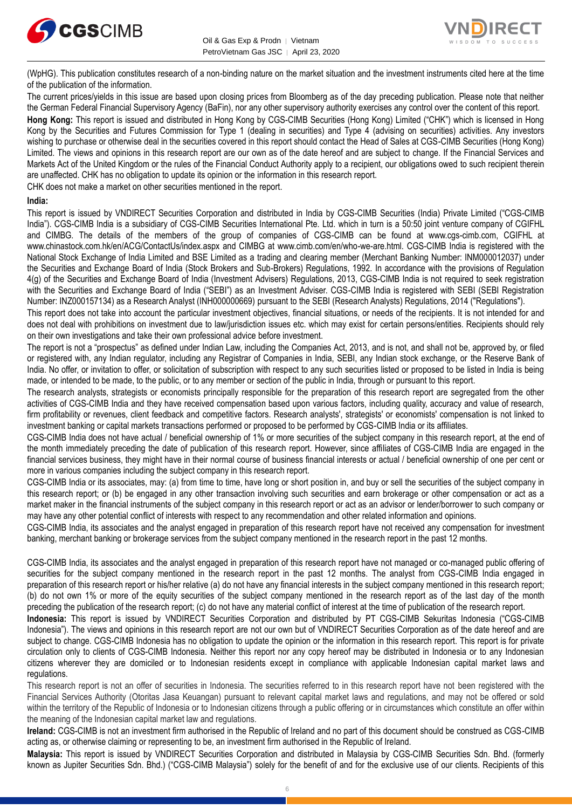

Oil & Gas Exp & Prodn | Vietnam PetroVietnam Gas JSC │ April 23, 2020



(WpHG). This publication constitutes research of a non-binding nature on the market situation and the investment instruments cited here at the time of the publication of the information.

The current prices/yields in this issue are based upon closing prices from Bloomberg as of the day preceding publication. Please note that neither the German Federal Financial Supervisory Agency (BaFin), nor any other supervisory authority exercises any control over the content of this report.

**Hong Kong:** This report is issued and distributed in Hong Kong by CGS-CIMB Securities (Hong Kong) Limited ("CHK") which is licensed in Hong Kong by the Securities and Futures Commission for Type 1 (dealing in securities) and Type 4 (advising on securities) activities. Any investors wishing to purchase or otherwise deal in the securities covered in this report should contact the Head of Sales at CGS-CIMB Securities (Hong Kong) Limited. The views and opinions in this research report are our own as of the date hereof and are subject to change. If the Financial Services and Markets Act of the United Kingdom or the rules of the Financial Conduct Authority apply to a recipient, our obligations owed to such recipient therein are unaffected. CHK has no obligation to update its opinion or the information in this research report.

CHK does not make a market on other securities mentioned in the report.

#### **India:**

This report is issued by VNDIRECT Securities Corporation and distributed in India by CGS-CIMB Securities (India) Private Limited ("CGS-CIMB India"). CGS-CIMB India is a subsidiary of CGS-CIMB Securities International Pte. Ltd. which in turn is a 50:50 joint venture company of CGIFHL and CIMBG. The details of the members of the group of companies of CGS-CIMB can be found at www.cgs-cimb.com, CGIFHL at www.chinastock.com.hk/en/ACG/ContactUs/index.aspx and CIMBG at www.cimb.com/en/who-we-are.html. CGS-CIMB India is registered with the National Stock Exchange of India Limited and BSE Limited as a trading and clearing member (Merchant Banking Number: INM000012037) under the Securities and Exchange Board of India (Stock Brokers and Sub-Brokers) Regulations, 1992. In accordance with the provisions of Regulation 4(g) of the Securities and Exchange Board of India (Investment Advisers) Regulations, 2013, CGS-CIMB India is not required to seek registration with the Securities and Exchange Board of India ("SEBI") as an Investment Adviser. CGS-CIMB India is registered with SEBI (SEBI Registration Number: INZ000157134) as a Research Analyst (INH000000669) pursuant to the SEBI (Research Analysts) Regulations, 2014 ("Regulations").

This report does not take into account the particular investment objectives, financial situations, or needs of the recipients. It is not intended for and does not deal with prohibitions on investment due to law/jurisdiction issues etc. which may exist for certain persons/entities. Recipients should rely on their own investigations and take their own professional advice before investment.

The report is not a "prospectus" as defined under Indian Law, including the Companies Act, 2013, and is not, and shall not be, approved by, or filed or registered with, any Indian regulator, including any Registrar of Companies in India, SEBI, any Indian stock exchange, or the Reserve Bank of India. No offer, or invitation to offer, or solicitation of subscription with respect to any such securities listed or proposed to be listed in India is being made, or intended to be made, to the public, or to any member or section of the public in India, through or pursuant to this report.

The research analysts, strategists or economists principally responsible for the preparation of this research report are segregated from the other activities of CGS-CIMB India and they have received compensation based upon various factors, including quality, accuracy and value of research, firm profitability or revenues, client feedback and competitive factors. Research analysts', strategists' or economists' compensation is not linked to investment banking or capital markets transactions performed or proposed to be performed by CGS-CIMB India or its affiliates.

CGS-CIMB India does not have actual / beneficial ownership of 1% or more securities of the subject company in this research report, at the end of the month immediately preceding the date of publication of this research report. However, since affiliates of CGS-CIMB India are engaged in the financial services business, they might have in their normal course of business financial interests or actual / beneficial ownership of one per cent or more in various companies including the subject company in this research report.

CGS-CIMB India or its associates, may: (a) from time to time, have long or short position in, and buy or sell the securities of the subject company in this research report; or (b) be engaged in any other transaction involving such securities and earn brokerage or other compensation or act as a market maker in the financial instruments of the subject company in this research report or act as an advisor or lender/borrower to such company or may have any other potential conflict of interests with respect to any recommendation and other related information and opinions.

CGS-CIMB India, its associates and the analyst engaged in preparation of this research report have not received any compensation for investment banking, merchant banking or brokerage services from the subject company mentioned in the research report in the past 12 months.

CGS-CIMB India, its associates and the analyst engaged in preparation of this research report have not managed or co-managed public offering of securities for the subject company mentioned in the research report in the past 12 months. The analyst from CGS-CIMB India engaged in preparation of this research report or his/her relative (a) do not have any financial interests in the subject company mentioned in this research report; (b) do not own 1% or more of the equity securities of the subject company mentioned in the research report as of the last day of the month preceding the publication of the research report; (c) do not have any material conflict of interest at the time of publication of the research report.

**Indonesia:** This report is issued by VNDIRECT Securities Corporation and distributed by PT CGS-CIMB Sekuritas Indonesia ("CGS-CIMB Indonesia"). The views and opinions in this research report are not our own but of VNDIRECT Securities Corporation as of the date hereof and are subject to change. CGS-CIMB Indonesia has no obligation to update the opinion or the information in this research report. This report is for private circulation only to clients of CGS-CIMB Indonesia. Neither this report nor any copy hereof may be distributed in Indonesia or to any Indonesian citizens wherever they are domiciled or to Indonesian residents except in compliance with applicable Indonesian capital market laws and regulations.

This research report is not an offer of securities in Indonesia. The securities referred to in this research report have not been registered with the Financial Services Authority (Otoritas Jasa Keuangan) pursuant to relevant capital market laws and regulations, and may not be offered or sold within the territory of the Republic of Indonesia or to Indonesian citizens through a public offering or in circumstances which constitute an offer within the meaning of the Indonesian capital market law and regulations.

**Ireland:** CGS-CIMB is not an investment firm authorised in the Republic of Ireland and no part of this document should be construed as CGS-CIMB acting as, or otherwise claiming or representing to be, an investment firm authorised in the Republic of Ireland.

**Malaysia:** This report is issued by VNDIRECT Securities Corporation and distributed in Malaysia by CGS-CIMB Securities Sdn. Bhd. (formerly known as Jupiter Securities Sdn. Bhd.) ("CGS-CIMB Malaysia") solely for the benefit of and for the exclusive use of our clients. Recipients of this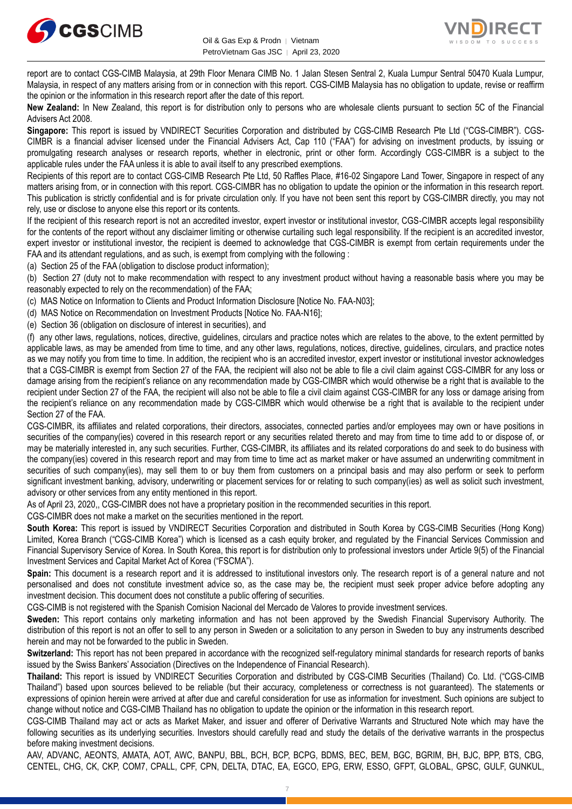



report are to contact CGS-CIMB Malaysia, at 29th Floor Menara CIMB No. 1 Jalan Stesen Sentral 2, Kuala Lumpur Sentral 50470 Kuala Lumpur, Malaysia, in respect of any matters arising from or in connection with this report. CGS-CIMB Malaysia has no obligation to update, revise or reaffirm the opinion or the information in this research report after the date of this report.

**New Zealand:** In New Zealand, this report is for distribution only to persons who are wholesale clients pursuant to section 5C of the Financial Advisers Act 2008.

**Singapore:** This report is issued by VNDIRECT Securities Corporation and distributed by CGS-CIMB Research Pte Ltd ("CGS-CIMBR"). CGS-CIMBR is a financial adviser licensed under the Financial Advisers Act, Cap 110 ("FAA") for advising on investment products, by issuing or promulgating research analyses or research reports, whether in electronic, print or other form. Accordingly CGS-CIMBR is a subject to the applicable rules under the FAA unless it is able to avail itself to any prescribed exemptions.

Recipients of this report are to contact CGS-CIMB Research Pte Ltd, 50 Raffles Place, #16-02 Singapore Land Tower, Singapore in respect of any matters arising from, or in connection with this report. CGS-CIMBR has no obligation to update the opinion or the information in this research report. This publication is strictly confidential and is for private circulation only. If you have not been sent this report by CGS-CIMBR directly, you may not rely, use or disclose to anyone else this report or its contents.

If the recipient of this research report is not an accredited investor, expert investor or institutional investor, CGS-CIMBR accepts legal responsibility for the contents of the report without any disclaimer limiting or otherwise curtailing such legal responsibility. If the recipient is an accredited investor, expert investor or institutional investor, the recipient is deemed to acknowledge that CGS-CIMBR is exempt from certain requirements under the FAA and its attendant regulations, and as such, is exempt from complying with the following :

(a) Section 25 of the FAA (obligation to disclose product information);

(b) Section 27 (duty not to make recommendation with respect to any investment product without having a reasonable basis where you may be reasonably expected to rely on the recommendation) of the FAA;

(c) MAS Notice on Information to Clients and Product Information Disclosure [Notice No. FAA-N03];

(d) MAS Notice on Recommendation on Investment Products [Notice No. FAA-N16];

(e) Section 36 (obligation on disclosure of interest in securities), and

(f) any other laws, regulations, notices, directive, guidelines, circulars and practice notes which are relates to the above, to the extent permitted by applicable laws, as may be amended from time to time, and any other laws, regulations, notices, directive, guidelines, circulars, and practice notes as we may notify you from time to time. In addition, the recipient who is an accredited investor, expert investor or institutional investor acknowledges that a CGS-CIMBR is exempt from Section 27 of the FAA, the recipient will also not be able to file a civil claim against CGS-CIMBR for any loss or damage arising from the recipient's reliance on any recommendation made by CGS-CIMBR which would otherwise be a right that is available to the recipient under Section 27 of the FAA, the recipient will also not be able to file a civil claim against CGS-CIMBR for any loss or damage arising from the recipient's reliance on any recommendation made by CGS-CIMBR which would otherwise be a right that is available to the recipient under Section 27 of the FAA.

CGS-CIMBR, its affiliates and related corporations, their directors, associates, connected parties and/or employees may own or have positions in securities of the company(ies) covered in this research report or any securities related thereto and may from time to time add to or dispose of, or may be materially interested in, any such securities. Further, CGS-CIMBR, its affiliates and its related corporations do and seek to do business with the company(ies) covered in this research report and may from time to time act as market maker or have assumed an underwriting commitment in securities of such company(ies), may sell them to or buy them from customers on a principal basis and may also perform or seek to perform significant investment banking, advisory, underwriting or placement services for or relating to such company(ies) as well as solicit such investment, advisory or other services from any entity mentioned in this report.

As of April 23, 2020,, CGS-CIMBR does not have a proprietary position in the recommended securities in this report.

CGS-CIMBR does not make a market on the securities mentioned in the report.

**South Korea:** This report is issued by VNDIRECT Securities Corporation and distributed in South Korea by CGS-CIMB Securities (Hong Kong) Limited, Korea Branch ("CGS-CIMB Korea") which is licensed as a cash equity broker, and regulated by the Financial Services Commission and Financial Supervisory Service of Korea. In South Korea, this report is for distribution only to professional investors under Article 9(5) of the Financial Investment Services and Capital Market Act of Korea ("FSCMA").

**Spain:** This document is a research report and it is addressed to institutional investors only. The research report is of a general nature and not personalised and does not constitute investment advice so, as the case may be, the recipient must seek proper advice before adopting any investment decision. This document does not constitute a public offering of securities.

CGS-CIMB is not registered with the Spanish Comision Nacional del Mercado de Valores to provide investment services.

**Sweden:** This report contains only marketing information and has not been approved by the Swedish Financial Supervisory Authority. The distribution of this report is not an offer to sell to any person in Sweden or a solicitation to any person in Sweden to buy any instruments described herein and may not be forwarded to the public in Sweden.

**Switzerland:** This report has not been prepared in accordance with the recognized self-regulatory minimal standards for research reports of banks issued by the Swiss Bankers' Association (Directives on the Independence of Financial Research).

**Thailand:** This report is issued by VNDIRECT Securities Corporation and distributed by CGS-CIMB Securities (Thailand) Co. Ltd. ("CGS-CIMB Thailand") based upon sources believed to be reliable (but their accuracy, completeness or correctness is not guaranteed). The statements or expressions of opinion herein were arrived at after due and careful consideration for use as information for investment. Such opinions are subject to change without notice and CGS-CIMB Thailand has no obligation to update the opinion or the information in this research report.

CGS-CIMB Thailand may act or acts as Market Maker, and issuer and offerer of Derivative Warrants and Structured Note which may have the following securities as its underlying securities. Investors should carefully read and study the details of the derivative warrants in the prospectus before making investment decisions.

AAV, ADVANC, AEONTS, AMATA, AOT, AWC, BANPU, BBL, BCH, BCP, BCPG, BDMS, BEC, BEM, BGC, BGRIM, BH, BJC, BPP, BTS, CBG, CENTEL, CHG, CK, CKP, COM7, CPALL, CPF, CPN, DELTA, DTAC, EA, EGCO, EPG, ERW, ESSO, GFPT, GLOBAL, GPSC, GULF, GUNKUL,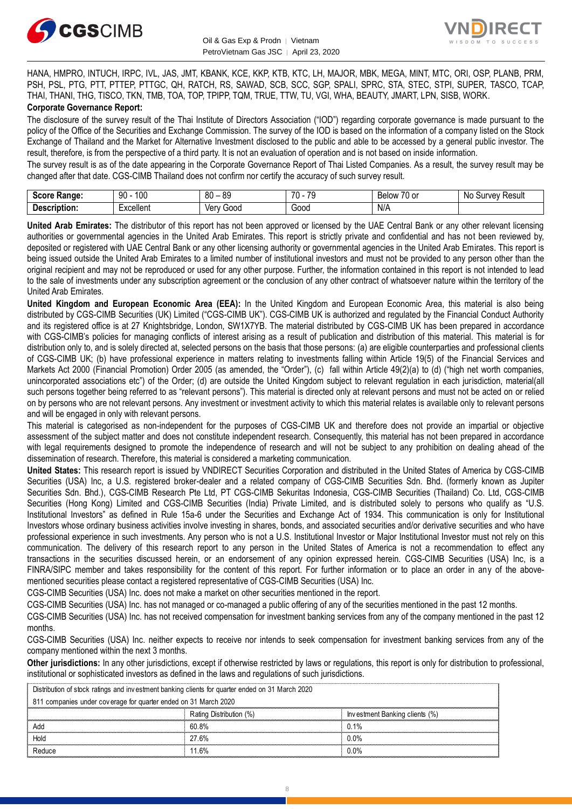



HANA, HMPRO, INTUCH, IRPC, IVL, JAS, JMT, KBANK, KCE, KKP, KTB, KTC, LH, MAJOR, MBK, MEGA, MINT, MTC, ORI, OSP, PLANB, PRM, PSH, PSL, PTG, PTT, PTTEP, PTTGC, QH, RATCH, RS, SAWAD, SCB, SCC, SGP, SPALI, SPRC, STA, STEC, STPI, SUPER, TASCO, TCAP, THAI, THANI, THG, TISCO, TKN, TMB, TOA, TOP, TPIPP, TQM, TRUE, TTW, TU, VGI, WHA, BEAUTY, JMART, LPN, SISB, WORK. **Corporate Governance Report:**

The disclosure of the survey result of the Thai Institute of Directors Association ("IOD") regarding corporate governance is made pursuant to the policy of the Office of the Securities and Exchange Commission. The survey of the IOD is based on the information of a company listed on the Stock Exchange of Thailand and the Market for Alternative Investment disclosed to the public and able to be accessed by a general public investor. The result, therefore, is from the perspective of a third party. It is not an evaluation of operation and is not based on inside information.

The survey result is as of the date appearing in the Corporate Governance Report of Thai Listed Companies. As a result, the survey result may be changed after that date. CGS-CIMB Thailand does not confirm nor certify the accuracy of such survey result.

| Saara.<br>Range:<br>ocort   | 100<br>۵O<br>JU              | 80<br>or<br>$\overline{\phantom{a}}$ | $\overline{\phantom{a}}$<br>$\overline{\phantom{a}}$<br>$\cdot$ | $\sim$ $\sim$<br>. U or<br><b>Below</b> | Result<br>$\sim$<br>N <sub>IC</sub><br>,,,<br>oи<br>,,,<br>າບ |
|-----------------------------|------------------------------|--------------------------------------|-----------------------------------------------------------------|-----------------------------------------|---------------------------------------------------------------|
| <b>Descript</b><br>ription: | .voollon<br>:xuellei II<br>. | Ver<br>000خ<br>rv<br>, vi            | Good                                                            | N/A                                     |                                                               |

**United Arab Emirates:** The distributor of this report has not been approved or licensed by the UAE Central Bank or any other relevant licensing authorities or governmental agencies in the United Arab Emirates. This report is strictly private and confidential and has not been reviewed by, deposited or registered with UAE Central Bank or any other licensing authority or governmental agencies in the United Arab Emirates. This report is being issued outside the United Arab Emirates to a limited number of institutional investors and must not be provided to any person other than the original recipient and may not be reproduced or used for any other purpose. Further, the information contained in this report is not intended to lead to the sale of investments under any subscription agreement or the conclusion of any other contract of whatsoever nature within the territory of the United Arab Emirates.

**United Kingdom and European Economic Area (EEA):** In the United Kingdom and European Economic Area, this material is also being distributed by CGS-CIMB Securities (UK) Limited ("CGS-CIMB UK"). CGS-CIMB UK is authorized and regulated by the Financial Conduct Authority and its registered office is at 27 Knightsbridge, London, SW1X7YB. The material distributed by CGS-CIMB UK has been prepared in accordance with CGS-CIMB's policies for managing conflicts of interest arising as a result of publication and distribution of this material. This material is for distribution only to, and is solely directed at, selected persons on the basis that those persons: (a) are eligible counterparties and professional clients of CGS-CIMB UK; (b) have professional experience in matters relating to investments falling within Article 19(5) of the Financial Services and Markets Act 2000 (Financial Promotion) Order 2005 (as amended, the "Order"), (c) fall within Article 49(2)(a) to (d) ("high net worth companies, unincorporated associations etc") of the Order; (d) are outside the United Kingdom subject to relevant regulation in each jurisdiction, material(all such persons together being referred to as "relevant persons"). This material is directed only at relevant persons and must not be acted on or relied on by persons who are not relevant persons. Any investment or investment activity to which this material relates is available only to relevant persons and will be engaged in only with relevant persons.

This material is categorised as non-independent for the purposes of CGS-CIMB UK and therefore does not provide an impartial or objective assessment of the subject matter and does not constitute independent research. Consequently, this material has not been prepared in accordance with legal requirements designed to promote the independence of research and will not be subject to any prohibition on dealing ahead of the dissemination of research. Therefore, this material is considered a marketing communication.

**United States:** This research report is issued by VNDIRECT Securities Corporation and distributed in the United States of America by CGS-CIMB Securities (USA) Inc, a U.S. registered broker-dealer and a related company of CGS-CIMB Securities Sdn. Bhd. (formerly known as Jupiter Securities Sdn. Bhd.), CGS-CIMB Research Pte Ltd, PT CGS-CIMB Sekuritas Indonesia, CGS-CIMB Securities (Thailand) Co. Ltd, CGS-CIMB Securities (Hong Kong) Limited and CGS-CIMB Securities (India) Private Limited, and is distributed solely to persons who qualify as "U.S. Institutional Investors" as defined in Rule 15a-6 under the Securities and Exchange Act of 1934. This communication is only for Institutional Investors whose ordinary business activities involve investing in shares, bonds, and associated securities and/or derivative securities and who have professional experience in such investments. Any person who is not a U.S. Institutional Investor or Major Institutional Investor must not rely on this communication. The delivery of this research report to any person in the United States of America is not a recommendation to effect any transactions in the securities discussed herein, or an endorsement of any opinion expressed herein. CGS-CIMB Securities (USA) Inc, is a FINRA/SIPC member and takes responsibility for the content of this report. For further information or to place an order in any of the abovementioned securities please contact a registered representative of CGS-CIMB Securities (USA) Inc.

CGS-CIMB Securities (USA) Inc. does not make a market on other securities mentioned in the report.

CGS-CIMB Securities (USA) Inc. has not managed or co-managed a public offering of any of the securities mentioned in the past 12 months.

CGS-CIMB Securities (USA) Inc. has not received compensation for investment banking services from any of the company mentioned in the past 12 months.

CGS-CIMB Securities (USA) Inc. neither expects to receive nor intends to seek compensation for investment banking services from any of the company mentioned within the next 3 months.

**Other jurisdictions:** In any other jurisdictions, except if otherwise restricted by laws or regulations, this report is only for distribution to professional, institutional or sophisticated investors as defined in the laws and regulations of such jurisdictions. being the purisdictions: In any other jurisdictions, except if otherwise restricted by langulational or sophisticated investors as defined in the laws and regulations of sudistribution of stock ratings and investment banki

| Other jurisdictions: In any other jurisdictions, except if otherwise restricted by laws or regulations, this report is only for distribution to<br>institutional or sophisticated investors as defined in the laws and regulations of such jurisdictions. |                         |                                |  |  |  |
|-----------------------------------------------------------------------------------------------------------------------------------------------------------------------------------------------------------------------------------------------------------|-------------------------|--------------------------------|--|--|--|
| Distribution of stock ratings and investment banking clients for quarter ended on 31 March 2020                                                                                                                                                           |                         |                                |  |  |  |
| 811 companies under coverage for quarter ended on 31 March 2020                                                                                                                                                                                           |                         |                                |  |  |  |
|                                                                                                                                                                                                                                                           | Rating Distribution (%) | Investment Banking clients (%) |  |  |  |
| Add                                                                                                                                                                                                                                                       | 60.8%                   | 0.1%                           |  |  |  |
| Hold                                                                                                                                                                                                                                                      | 27.6%                   | 0.0%                           |  |  |  |
| Reduce                                                                                                                                                                                                                                                    | 11.6%                   | $0.0\%$                        |  |  |  |
|                                                                                                                                                                                                                                                           |                         |                                |  |  |  |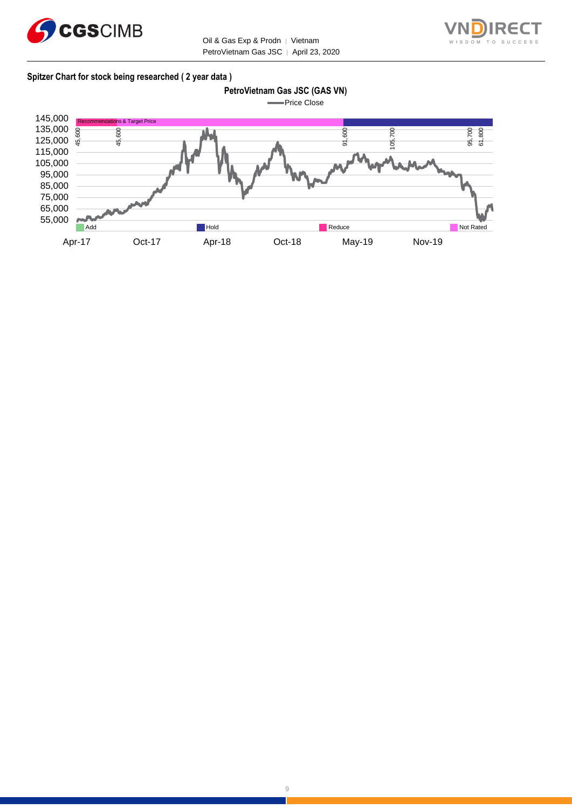

Oil & Gas Exp & Prodn | Vietnam PetroVietnam Gas JSC │ April 23, 2020



#### **Spitzer Chart for stock being researched ( 2 year data )**

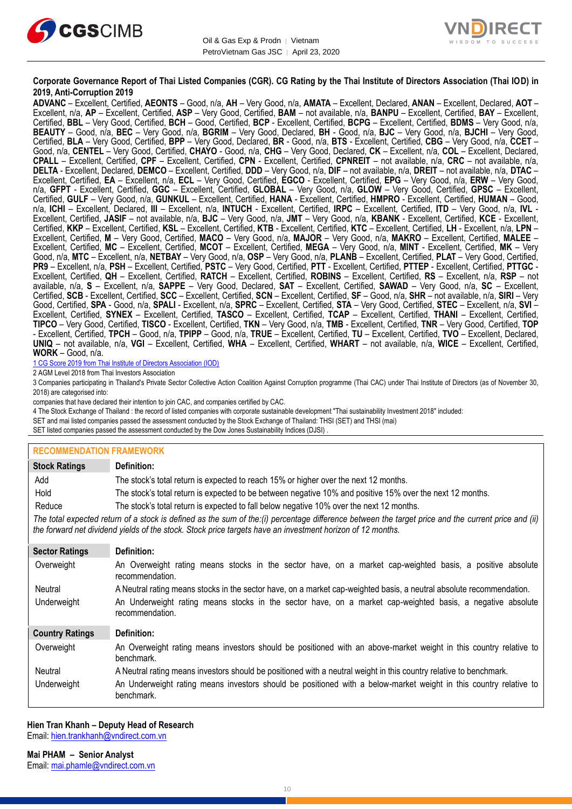



#### **Corporate Governance Report of Thai Listed Companies (CGR). CG Rating by the Thai Institute of Directors Association (Thai IOD) in 2019, Anti-Corruption 2019**

**ADVANC** – Excellent, Certified, **AEONTS** – Good, n/a, **AH** – Very Good, n/a, **AMATA** – Excellent, Declared, **ANAN** – Excellent, Declared, **AOT** – Excellent, n/a, **AP** – Excellent, Certified, **ASP** – Very Good, Certified, **BAM** – not available, n/a, **BANPU** – Excellent, Certified, **BAY** – Excellent, Certified, **BBL** – Very Good, Certified, **BCH** – Good, Certified, **BCP** - Excellent, Certified, **BCPG** – Excellent, Certified, **BDMS** – Very Good, n/a, **BEAUTY** – Good, n/a, **BEC** – Very Good, n/a, **BGRIM** – Very Good, Declared, **BH** - Good, n/a, **BJC** – Very Good, n/a, **BJCHI** – Very Good, Certified, **BLA** – Very Good, Certified, **BPP** – Very Good, Declared, **BR** - Good, n/a, **BTS** - Excellent, Certified, **CBG** – Very Good, n/a, **CCET** – Good, n/a, **CENTEL** – Very Good, Certified, **CHAYO** - Good, n/a, **CHG** – Very Good, Declared, **CK** – Excellent, n/a, **COL** – Excellent, Declared, **CPALL** – Excellent, Certified, **CPF** – Excellent, Certified, **CPN** - Excellent, Certified, **CPNREIT** – not available, n/a, **CRC** – not available, n/a, **DELTA** - Excellent, Declared, **DEMCO** – Excellent, Certified, **DDD** – Very Good, n/a, **DIF** – not available, n/a, **DREIT** – not available, n/a, **DTAC** – Excellent, Certified, **EA** – Excellent, n/a, **ECL** – Very Good, Certified, **EGCO** - Excellent, Certified, **EPG** – Very Good, n/a, **ERW** – Very Good, n/a, **GFPT** - Excellent, Certified, **GGC** – Excellent, Certified, **GLOBAL** – Very Good, n/a, **GLOW** – Very Good, Certified, **GPSC** – Excellent, Certified, **GULF** – Very Good, n/a, **GUNKUL** – Excellent, Certified, **HANA** - Excellent, Certified, **HMPRO** - Excellent, Certified, **HUMAN** – Good, n/a, **ICHI** – Excellent, Declared, **III** – Excellent, n/a, **INTUCH** - Excellent, Certified, **IRPC** – Excellent, Certified, **ITD** – Very Good, n/a, **IVL** - Excellent, Certified, **JASIF** – not available, n/a, **BJC** – Very Good, n/a, **JMT** – Very Good, n/a, **KBANK** - Excellent, Certified, **KCE** - Excellent, Certified, **KKP** – Excellent, Certified, **KSL** – Excellent, Certified, **KTB** - Excellent, Certified, **KTC** – Excellent, Certified, **LH** - Excellent, n/a, **LPN** – Excellent, Certified, **M** – Very Good, Certified, **MACO** – Very Good, n/a, **MAJOR** – Very Good, n/a, **MAKRO** – Excellent, Certified, **MALEE** – Excellent, Certified, **MC** – Excellent, Certified, **MCOT** – Excellent, Certified, **MEGA** – Very Good, n/a, **MINT** - Excellent, Certified, **MK** – Very Good, n/a, **MTC** – Excellent, n/a, **NETBAY** – Very Good, n/a, **OSP** – Very Good, n/a, **PLANB** – Excellent, Certified, **PLAT** – Very Good, Certified, **PR9** – Excellent, n/a, **PSH** – Excellent, Certified, **PSTC** – Very Good, Certified, **PTT** - Excellent, Certified, **PTTEP** - Excellent, Certified, **PTTGC** - Excellent, Certified, **QH** – Excellent, Certified, **RATCH** – Excellent, Certified, **ROBINS** – Excellent, Certified, **RS** – Excellent, n/a, **RSP** – not available, n/a, **S** – Excellent, n/a, **SAPPE** – Very Good, Declared, **SAT** – Excellent, Certified, **SAWAD** – Very Good, n/a, **SC** – Excellent, Certified, **SCB** - Excellent, Certified, **SCC** – Excellent, Certified, **SCN** – Excellent, Certified, **SF** – Good, n/a, **SHR** – not available, n/a, **SIRI** – Very Good, Certified, **SPA** - Good, n/a, **SPALI** - Excellent, n/a, **SPRC** – Excellent, Certified, **STA** – Very Good, Certified, **STEC** – Excellent, n/a, **SVI** – Excellent, Certified, **SYNEX** – Excellent, Certified, **TASCO** – Excellent, Certified, **TCAP** – Excellent, Certified, **THANI** – Excellent, Certified, **TIPCO** – Very Good, Certified, **TISCO** - Excellent, Certified, **TKN** – Very Good, n/a, **TMB** - Excellent, Certified, **TNR** – Very Good, Certified, **TOP** - Excellent, Certified, **TPCH** – Good, n/a, **TPIPP** – Good, n/a, **TRUE** – Excellent, Certified, **TU** – Excellent, Certified, **TVO** – Excellent, Declared, **UNIQ** – not available, n/a, **VGI** – Excellent, Certified, **WHA** – Excellent, Certified, **WHART** – not available, n/a, **WICE** – Excellent, Certified, **WORK** – Good, n/a.

1 CG Score 2019 from Thai Institute of Directors Association (IOD)

2 AGM Level 2018 from Thai Investors Association

3 Companies participating in Thailand's Private Sector Collective Action Coalition Against Corruption programme (Thai CAC) under Thai Institute of Directors (as of November 30, 2018) are categorised into:

companies that have declared their intention to join CAC, and companies certified by CAC.

4 [The Stock Exchange of Thailand : the record of listed companies with corporate sustainable development "Thai sustainability Investment 2018" included:](http://www.set.or.th/sustainable_dev/en/sr/sri/tsi_p1.html)

SET and mai listed companies passed the assessment conducted by the Stock Exchange of Thailand: THSI (SET) and THSI (mai)

SET listed companies passed the assessment conducted by the Dow Jones Sustainability Indices (DJSI)

#### **RECOMMENDATION FRAMEWORK**

| <b>Stock Ratings</b>                                                                                                                                                                                                                                              | Definition:                                                                                                                     |  |  |  |
|-------------------------------------------------------------------------------------------------------------------------------------------------------------------------------------------------------------------------------------------------------------------|---------------------------------------------------------------------------------------------------------------------------------|--|--|--|
| Add                                                                                                                                                                                                                                                               | The stock's total return is expected to reach 15% or higher over the next 12 months.                                            |  |  |  |
| Hold                                                                                                                                                                                                                                                              | The stock's total return is expected to be between negative 10% and positive 15% over the next 12 months.                       |  |  |  |
| Reduce                                                                                                                                                                                                                                                            | The stock's total return is expected to fall below negative 10% over the next 12 months.                                        |  |  |  |
| The total expected return of a stock is defined as the sum of the:(i) percentage difference between the target price and the current price and (ii)<br>the forward net dividend yields of the stock. Stock price targets have an investment horizon of 12 months. |                                                                                                                                 |  |  |  |
| <b>Sector Ratings</b>                                                                                                                                                                                                                                             | Definition:                                                                                                                     |  |  |  |
| Overweight                                                                                                                                                                                                                                                        | An Overweight rating means stocks in the sector have, on a market cap-weighted basis, a positive absolute<br>recommendation.    |  |  |  |
| Neutral                                                                                                                                                                                                                                                           | A Neutral rating means stocks in the sector have, on a market cap-weighted basis, a neutral absolute recommendation.            |  |  |  |
| Underweight                                                                                                                                                                                                                                                       | An Underweight rating means stocks in the sector have, on a market cap-weighted basis, a negative absolute<br>recommendation.   |  |  |  |
| <b>Country Ratings</b>                                                                                                                                                                                                                                            | Definition:                                                                                                                     |  |  |  |
| Overweight                                                                                                                                                                                                                                                        | An Overweight rating means investors should be positioned with an above-market weight in this country relative to<br>benchmark. |  |  |  |
| Neutral                                                                                                                                                                                                                                                           | A Neutral rating means investors should be positioned with a neutral weight in this country relative to benchmark.              |  |  |  |
| Underweight                                                                                                                                                                                                                                                       | An Underweight rating means investors should be positioned with a below-market weight in this country relative to<br>benchmark. |  |  |  |

# **Hien Tran Khanh – Deputy Head of Research**

Email: [hien.trankhanh@vndirect.com.vn](mailto:hien.trankhanh@vndirect.com.vn)